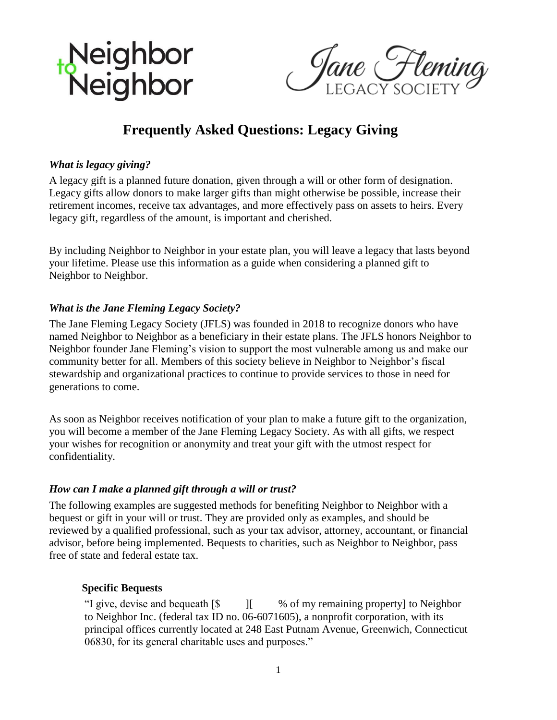

Jane Fleming

# **Frequently Asked Questions: Legacy Giving**

# *What is legacy giving?*

A legacy gift is a planned future donation, given through a will or other form of designation. Legacy gifts allow donors to make larger gifts than might otherwise be possible, increase their retirement incomes, receive tax advantages, and more effectively pass on assets to heirs. Every legacy gift, regardless of the amount, is important and cherished.

By including Neighbor to Neighbor in your estate plan, you will leave a legacy that lasts beyond your lifetime. Please use this information as a guide when considering a planned gift to Neighbor to Neighbor.

# *What is the Jane Fleming Legacy Society?*

The Jane Fleming Legacy Society (JFLS) was founded in 2018 to recognize donors who have named Neighbor to Neighbor as a beneficiary in their estate plans. The JFLS honors Neighbor to Neighbor founder Jane Fleming's vision to support the most vulnerable among us and make our community better for all. Members of this society believe in Neighbor to Neighbor's fiscal stewardship and organizational practices to continue to provide services to those in need for generations to come.

As soon as Neighbor receives notification of your plan to make a future gift to the organization, you will become a member of the Jane Fleming Legacy Society. As with all gifts, we respect your wishes for recognition or anonymity and treat your gift with the utmost respect for confidentiality.

#### *How can I make a planned gift through a will or trust?*

The following examples are suggested methods for benefiting Neighbor to Neighbor with a bequest or gift in your will or trust. They are provided only as examples, and should be reviewed by a qualified professional, such as your tax advisor, attorney, accountant, or financial advisor, before being implemented. Bequests to charities, such as Neighbor to Neighbor, pass free of state and federal estate tax.

#### **Specific Bequests**

"I give, devise and bequeath  $\lceil \$\rceil$  | % of my remaining property] to Neighbor to Neighbor Inc. (federal tax ID no. 06-6071605), a nonprofit corporation, with its principal offices currently located at 248 East Putnam Avenue, Greenwich, Connecticut 06830, for its general charitable uses and purposes."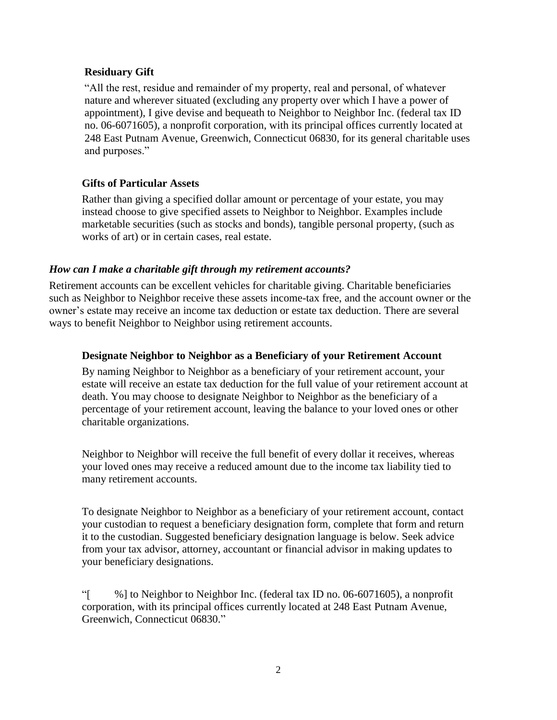# **Residuary Gift**

"All the rest, residue and remainder of my property, real and personal, of whatever nature and wherever situated (excluding any property over which I have a power of appointment), I give devise and bequeath to Neighbor to Neighbor Inc. (federal tax ID no. 06-6071605), a nonprofit corporation, with its principal offices currently located at 248 East Putnam Avenue, Greenwich, Connecticut 06830, for its general charitable uses and purposes."

# **Gifts of Particular Assets**

Rather than giving a specified dollar amount or percentage of your estate, you may instead choose to give specified assets to Neighbor to Neighbor. Examples include marketable securities (such as stocks and bonds), tangible personal property, (such as works of art) or in certain cases, real estate.

#### *How can I make a charitable gift through my retirement accounts?*

Retirement accounts can be excellent vehicles for charitable giving. Charitable beneficiaries such as Neighbor to Neighbor receive these assets income-tax free, and the account owner or the owner's estate may receive an income tax deduction or estate tax deduction. There are several ways to benefit Neighbor to Neighbor using retirement accounts.

### **Designate Neighbor to Neighbor as a Beneficiary of your Retirement Account**

By naming Neighbor to Neighbor as a beneficiary of your retirement account, your estate will receive an estate tax deduction for the full value of your retirement account at death. You may choose to designate Neighbor to Neighbor as the beneficiary of a percentage of your retirement account, leaving the balance to your loved ones or other charitable organizations.

Neighbor to Neighbor will receive the full benefit of every dollar it receives, whereas your loved ones may receive a reduced amount due to the income tax liability tied to many retirement accounts.

To designate Neighbor to Neighbor as a beneficiary of your retirement account, contact your custodian to request a beneficiary designation form, complete that form and return it to the custodian. Suggested beneficiary designation language is below. Seek advice from your tax advisor, attorney, accountant or financial advisor in making updates to your beneficiary designations.

"[ %] to Neighbor to Neighbor Inc. (federal tax ID no. 06-6071605), a nonprofit corporation, with its principal offices currently located at 248 East Putnam Avenue, Greenwich, Connecticut 06830."